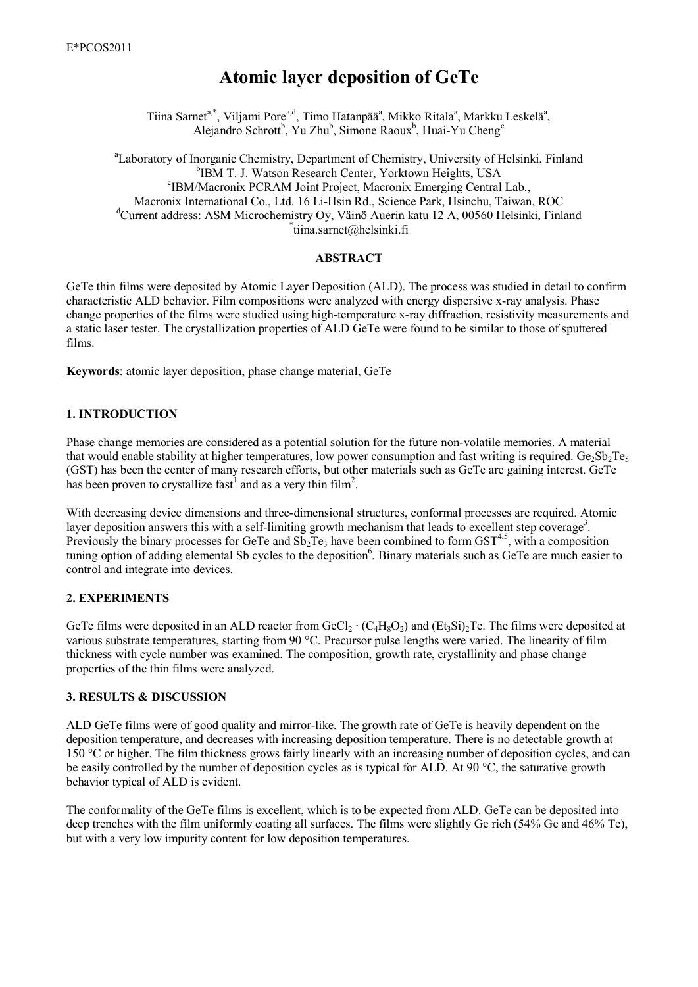# Atomic layer deposition of GeTe

Tiina Sarnet<sup>a,\*</sup>, Viljami Pore<sup>a,d</sup>, Timo Hatanpää<sup>a</sup>, Mikko Ritala<sup>a</sup>, Markku Leskelä<sup>a</sup>, Alejandro Schrott<sup>b</sup>, Yu Zhu<sup>b</sup>, Simone Raoux<sup>b</sup>, Huai-Yu Cheng<sup>c</sup>

<sup>a</sup>Laboratory of Inorganic Chemistry, Department of Chemistry, University of Helsinki, Finland <sup>b</sup>IBM T. J. Watson Research Center, Yorktown Heights, USA <sup>c</sup>IBM/Macronix PCRAM Joint Project, Macronix Emerging Central Lab., Macronix International Co., Ltd. 16 Li-Hsin Rd., Science Park, Hsinchu, Taiwan, ROC <sup>d</sup>Current address: ASM Microchemistry Oy, Väinö Auerin katu 12 A, 00560 Helsinki, Finland tiina.sarnet@helsinki.fi

#### ABSTRACT

GeTe thin films were deposited by Atomic Layer Deposition (ALD). The process was studied in detail to confirm characteristic ALD behavior. Film compositions were analyzed with energy dispersive x-ray analysis. Phase change properties of the films were studied using high-temperature x-ray diffraction, resistivity measurements and a static laser tester. The crystallization properties of ALD GeTe were found to be similar to those of sputtered films.

Keywords: atomic layer deposition, phase change material, GeTe

# 1. INTRODUCTION

Phase change memories are considered as a potential solution for the future non-volatile memories. A material that would enable stability at higher temperatures, low power consumption and fast writing is required. Ge $_2Sb_2Te_5$ (GST) has been the center of many research efforts, but other materials such as GeTe are gaining interest. GeTe has been proven to crystallize fast<sup>1</sup> and as a very thin film<sup>2</sup>.

With decreasing device dimensions and three-dimensional structures, conformal processes are required. Atomic layer deposition answers this with a self-limiting growth mechanism that leads to excellent step coverage<sup>3</sup>. Previously the binary processes for GeTe and  $Sb<sub>2</sub>Te<sub>3</sub>$  have been combined to form  $GST<sup>4,5</sup>$ , with a composition tuning option of adding elemental Sb cycles to the deposition<sup>6</sup>. Binary materials such as GeTe are much easier to control and integrate into devices.

# 2. EXPERIMENTS

GeTe films were deposited in an ALD reactor from GeCl<sub>2</sub> · (C<sub>4</sub>H<sub>8</sub>O<sub>2</sub>) and (Et<sub>3</sub>Si)<sub>2</sub>Te. The films were deposited at various substrate temperatures, starting from 90 °C. Precursor pulse lengths were varied. The linearity of film thickness with cycle number was examined. The composition, growth rate, crystallinity and phase change properties of the thin films were analyzed.

# 3. RESULTS & DISCUSSION

ALD GeTe films were of good quality and mirror-like. The growth rate of GeTe is heavily dependent on the deposition temperature, and decreases with increasing deposition temperature. There is no detectable growth at 150 °C or higher. The film thickness grows fairly linearly with an increasing number of deposition cycles, and can be easily controlled by the number of deposition cycles as is typical for ALD. At 90 °C, the saturative growth behavior typical of ALD is evident.

The conformality of the GeTe films is excellent, which is to be expected from ALD. GeTe can be deposited into deep trenches with the film uniformly coating all surfaces. The films were slightly Ge rich (54% Ge and 46% Te), but with a very low impurity content for low deposition temperatures.